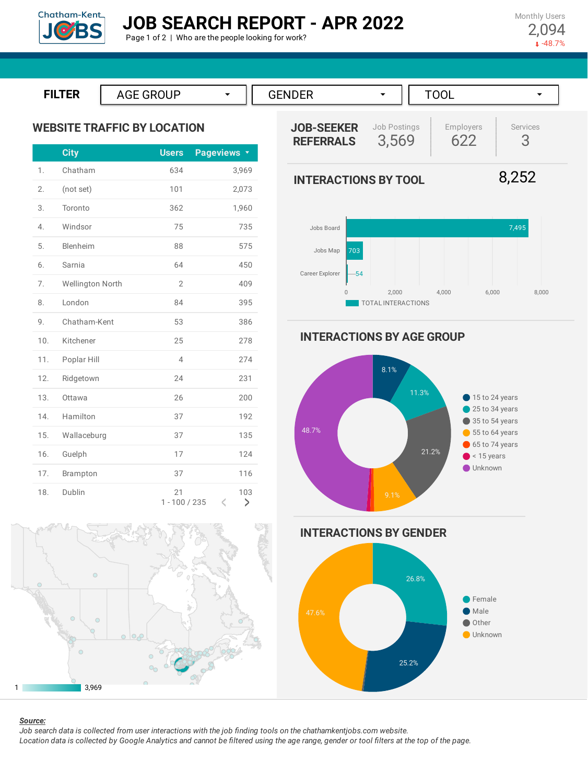

Page 1 of 2 | Who are the people looking for work?

Monthly Users 2,094  $-48.7%$ 





**INTERACTIONS BY AGE GROUP**



**INTERACTIONS BY GENDER**



1 3,969

4. Windsor 75 735

5. Blenheim 88 575

6. Sarnia 64 450

7. Wellington North 2 2 409

8. London 84 395

9. Chatham-Kent 53 53 386

10. Kitchener 25 278

11. Poplar Hill 4 274

12. Ridgetown 24 231

13. Ottawa 26 200

14. Hamilton 37 192

15. Wallaceburg 37 37 135

16. Guelph 17 124

17. Brampton 37 116

18. Dublin 21 21 103

1 - 100 / 235

 $\leq$ 

>

#### *Source:*

Job search data is collected from user interactions with the job finding tools on the chathamkentjobs.com website. Location data is collected by Google Analytics and cannot be filtered using the age range, gender or tool filters at the top of the page.